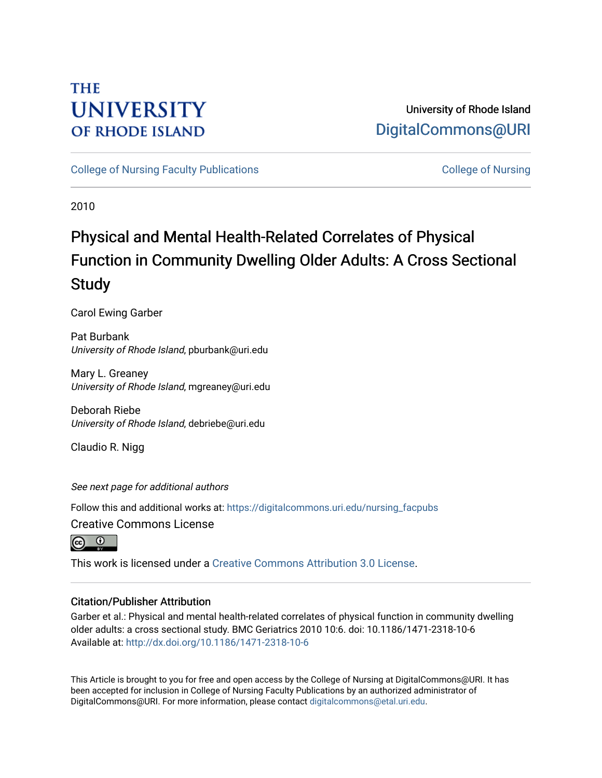# **THE UNIVERSITY OF RHODE ISLAND**

## University of Rhode Island [DigitalCommons@URI](https://digitalcommons.uri.edu/)

[College of Nursing Faculty Publications](https://digitalcommons.uri.edu/nursing_facpubs) **College of Nursing** College of Nursing

2010

# Physical and Mental Health-Related Correlates of Physical Function in Community Dwelling Older Adults: A Cross Sectional Study

Carol Ewing Garber

Pat Burbank University of Rhode Island, pburbank@uri.edu

Mary L. Greaney University of Rhode Island, mgreaney@uri.edu

Deborah Riebe University of Rhode Island, debriebe@uri.edu

Claudio R. Nigg

See next page for additional authors

Follow this and additional works at: [https://digitalcommons.uri.edu/nursing\\_facpubs](https://digitalcommons.uri.edu/nursing_facpubs?utm_source=digitalcommons.uri.edu%2Fnursing_facpubs%2F3&utm_medium=PDF&utm_campaign=PDFCoverPages) 

Creative Commons License



This work is licensed under a [Creative Commons Attribution 3.0 License](https://creativecommons.org/licenses/by/3.0/).

### Citation/Publisher Attribution

Garber et al.: Physical and mental health-related correlates of physical function in community dwelling older adults: a cross sectional study. BMC Geriatrics 2010 10:6. doi: 10.1186/1471-2318-10-6 Available at:<http://dx.doi.org/10.1186/1471-2318-10-6>

This Article is brought to you for free and open access by the College of Nursing at DigitalCommons@URI. It has been accepted for inclusion in College of Nursing Faculty Publications by an authorized administrator of DigitalCommons@URI. For more information, please contact [digitalcommons@etal.uri.edu.](mailto:digitalcommons@etal.uri.edu)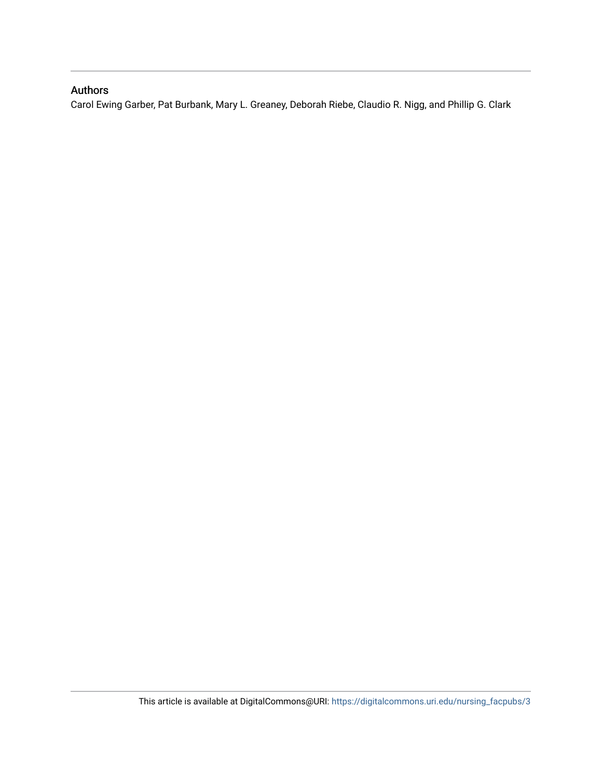### Authors

Carol Ewing Garber, Pat Burbank, Mary L. Greaney, Deborah Riebe, Claudio R. Nigg, and Phillip G. Clark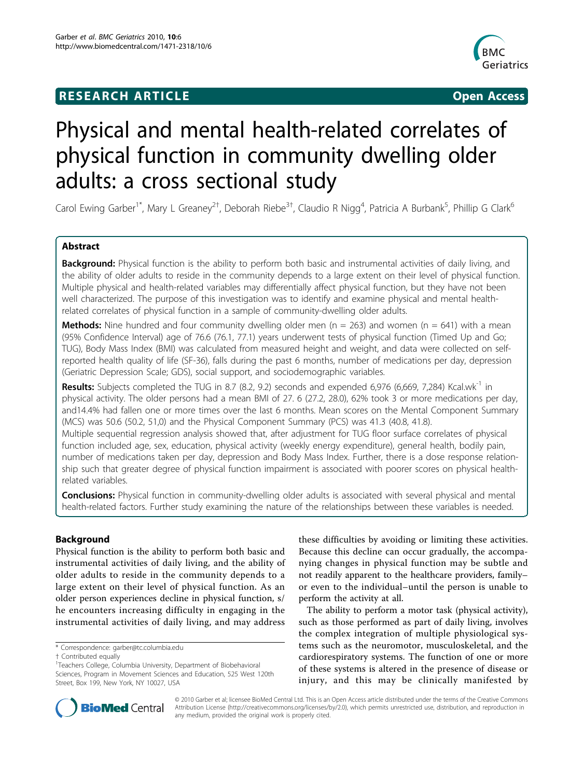## **RESEARCH ARTICLE Example 2018 12:00 Open Access**



# Physical and mental health-related correlates of physical function in community dwelling older adults: a cross sectional study

Carol Ewing Garber<sup>1\*</sup>, Mary L Greaney<sup>2†</sup>, Deborah Riebe<sup>3†</sup>, Claudio R Nigg<sup>4</sup>, Patricia A Burbank<sup>5</sup>, Phillip G Clark<sup>6</sup>

#### Abstract

Background: Physical function is the ability to perform both basic and instrumental activities of daily living, and the ability of older adults to reside in the community depends to a large extent on their level of physical function. Multiple physical and health-related variables may differentially affect physical function, but they have not been well characterized. The purpose of this investigation was to identify and examine physical and mental healthrelated correlates of physical function in a sample of community-dwelling older adults.

**Methods:** Nine hundred and four community dwelling older men ( $n = 263$ ) and women ( $n = 641$ ) with a mean (95% Confidence Interval) age of 76.6 (76.1, 77.1) years underwent tests of physical function (Timed Up and Go; TUG), Body Mass Index (BMI) was calculated from measured height and weight, and data were collected on selfreported health quality of life (SF-36), falls during the past 6 months, number of medications per day, depression (Geriatric Depression Scale; GDS), social support, and sociodemographic variables.

**Results:** Subjects completed the TUG in 8.7 (8.2, 9.2) seconds and expended 6,976 (6,669, 7,284) Kcal.wk<sup>-1</sup> in physical activity. The older persons had a mean BMI of 27. 6 (27.2, 28.0), 62% took 3 or more medications per day, and14.4% had fallen one or more times over the last 6 months. Mean scores on the Mental Component Summary (MCS) was 50.6 (50.2, 51,0) and the Physical Component Summary (PCS) was 41.3 (40.8, 41.8). Multiple sequential regression analysis showed that, after adjustment for TUG floor surface correlates of physical function included age, sex, education, physical activity (weekly energy expenditure), general health, bodily pain, number of medications taken per day, depression and Body Mass Index. Further, there is a dose response relation-

ship such that greater degree of physical function impairment is associated with poorer scores on physical healthrelated variables.

**Conclusions:** Physical function in community-dwelling older adults is associated with several physical and mental health-related factors. Further study examining the nature of the relationships between these variables is needed.

#### Background

Physical function is the ability to perform both basic and instrumental activities of daily living, and the ability of older adults to reside in the community depends to a large extent on their level of physical function. As an older person experiences decline in physical function, s/ he encounters increasing difficulty in engaging in the instrumental activities of daily living, and may address

\* Correspondence: [garber@tc.columbia.edu](mailto:garber@tc.columbia.edu)

these difficulties by avoiding or limiting these activities. Because this decline can occur gradually, the accompanying changes in physical function may be subtle and not readily apparent to the healthcare providers, family– or even to the individual–until the person is unable to perform the activity at all.

The ability to perform a motor task (physical activity), such as those performed as part of daily living, involves the complex integration of multiple physiological systems such as the neuromotor, musculoskeletal, and the cardiorespiratory systems. The function of one or more of these systems is altered in the presence of disease or injury, and this may be clinically manifested by



© 2010 Garber et al; licensee BioMed Central Ltd. This is an Open Access article distributed under the terms of the Creative Commons Attribution License [\(http://creativecommons.org/licenses/by/2.0](http://creativecommons.org/licenses/by/2.0)), which permits unrestricted use, distribution, and reproduction in any medium, provided the original work is properly cited.

<sup>†</sup> Contributed equally <sup>1</sup>

<sup>&</sup>lt;sup>1</sup>Teachers College, Columbia University, Department of Biobehavioral Sciences, Program in Movement Sciences and Education, 525 West 120th Street, Box 199, New York, NY 10027, USA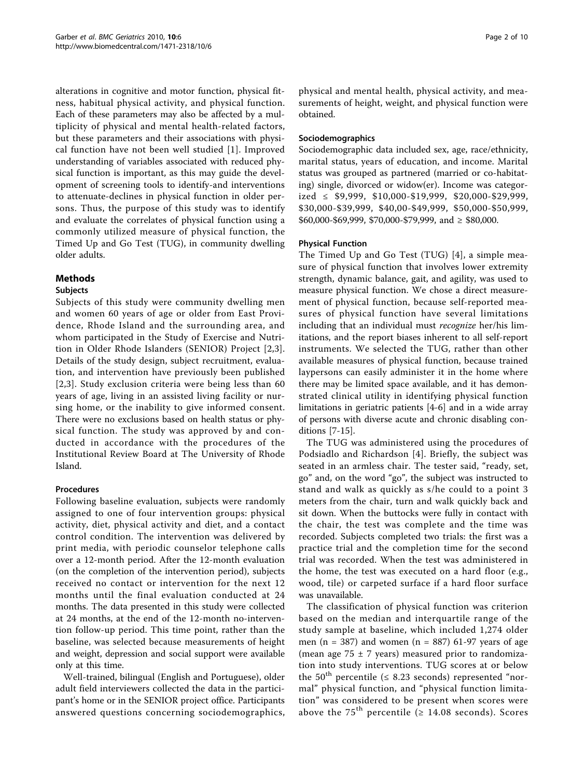alterations in cognitive and motor function, physical fitness, habitual physical activity, and physical function. Each of these parameters may also be affected by a multiplicity of physical and mental health-related factors, but these parameters and their associations with physical function have not been well studied [[1](#page-9-0)]. Improved understanding of variables associated with reduced physical function is important, as this may guide the development of screening tools to identify-and interventions to attenuate-declines in physical function in older persons. Thus, the purpose of this study was to identify and evaluate the correlates of physical function using a commonly utilized measure of physical function, the Timed Up and Go Test (TUG), in community dwelling older adults.

#### Methods

#### Subjects

Subjects of this study were community dwelling men and women 60 years of age or older from East Providence, Rhode Island and the surrounding area, and whom participated in the Study of Exercise and Nutrition in Older Rhode Islanders (SENIOR) Project [[2,3](#page-9-0)]. Details of the study design, subject recruitment, evaluation, and intervention have previously been published [[2](#page-9-0),[3\]](#page-9-0). Study exclusion criteria were being less than 60 years of age, living in an assisted living facility or nursing home, or the inability to give informed consent. There were no exclusions based on health status or physical function. The study was approved by and conducted in accordance with the procedures of the Institutional Review Board at The University of Rhode Island.

#### Procedures

Following baseline evaluation, subjects were randomly assigned to one of four intervention groups: physical activity, diet, physical activity and diet, and a contact control condition. The intervention was delivered by print media, with periodic counselor telephone calls over a 12-month period. After the 12-month evaluation (on the completion of the intervention period), subjects received no contact or intervention for the next 12 months until the final evaluation conducted at 24 months. The data presented in this study were collected at 24 months, at the end of the 12-month no-intervention follow-up period. This time point, rather than the baseline, was selected because measurements of height and weight, depression and social support were available only at this time.

Well-trained, bilingual (English and Portuguese), older adult field interviewers collected the data in the participant's home or in the SENIOR project office. Participants answered questions concerning sociodemographics,

physical and mental health, physical activity, and measurements of height, weight, and physical function were obtained.

#### Sociodemographics

Sociodemographic data included sex, age, race/ethnicity, marital status, years of education, and income. Marital status was grouped as partnered (married or co-habitating) single, divorced or widow(er). Income was categorized ≤ \$9,999, \$10,000-\$19,999, \$20,000-\$29,999, \$30,000-\$39,999, \$40,00-\$49,999, \$50,000-\$50,999, \$60,000-\$69,999, \$70,000-\$79,999, and ≥ \$80,000.

#### Physical Function

The Timed Up and Go Test (TUG) [\[4](#page-9-0)], a simple measure of physical function that involves lower extremity strength, dynamic balance, gait, and agility, was used to measure physical function. We chose a direct measurement of physical function, because self-reported measures of physical function have several limitations including that an individual must recognize her/his limitations, and the report biases inherent to all self-report instruments. We selected the TUG, rather than other available measures of physical function, because trained laypersons can easily administer it in the home where there may be limited space available, and it has demonstrated clinical utility in identifying physical function limitations in geriatric patients [\[4](#page-9-0)-[6\]](#page-9-0) and in a wide array of persons with diverse acute and chronic disabling conditions [[7-15\]](#page-9-0).

The TUG was administered using the procedures of Podsiadlo and Richardson [[4](#page-9-0)]. Briefly, the subject was seated in an armless chair. The tester said, "ready, set, go" and, on the word "go", the subject was instructed to stand and walk as quickly as s/he could to a point 3 meters from the chair, turn and walk quickly back and sit down. When the buttocks were fully in contact with the chair, the test was complete and the time was recorded. Subjects completed two trials: the first was a practice trial and the completion time for the second trial was recorded. When the test was administered in the home, the test was executed on a hard floor (e.g., wood, tile) or carpeted surface if a hard floor surface was unavailable.

The classification of physical function was criterion based on the median and interquartile range of the study sample at baseline, which included 1,274 older men (n = 387) and women (n = 887) 61-97 years of age (mean age  $75 \pm 7$  years) measured prior to randomization into study interventions. TUG scores at or below the 50<sup>th</sup> percentile ( $\leq$  8.23 seconds) represented "normal" physical function, and "physical function limitation" was considered to be present when scores were above the  $75<sup>th</sup>$  percentile ( $\geq 14.08$  seconds). Scores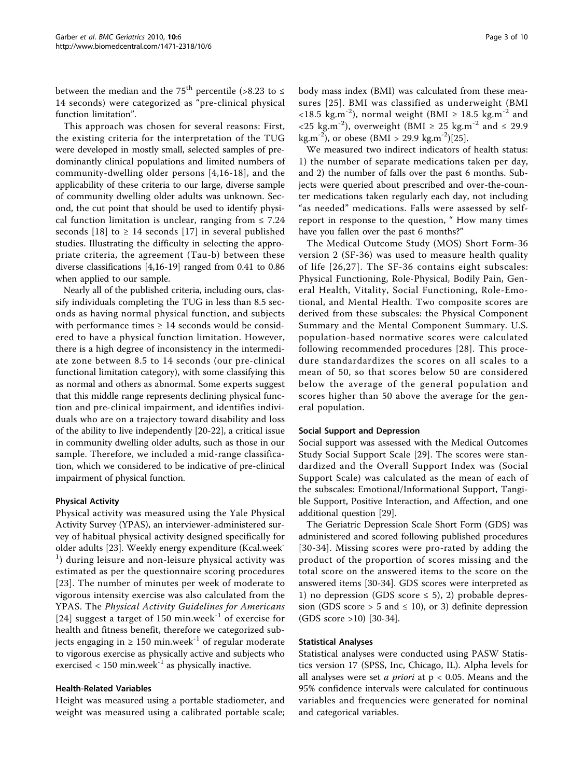between the median and the 75<sup>th</sup> percentile (>8.23 to  $\leq$ 14 seconds) were categorized as "pre-clinical physical function limitation".

This approach was chosen for several reasons: First, the existing criteria for the interpretation of the TUG were developed in mostly small, selected samples of predominantly clinical populations and limited numbers of community-dwelling older persons [[4](#page-9-0),[16](#page-10-0)-[18](#page-10-0)], and the applicability of these criteria to our large, diverse sample of community dwelling older adults was unknown. Second, the cut point that should be used to identify physical function limitation is unclear, ranging from  $\leq 7.24$ seconds [[18\]](#page-10-0) to  $\geq$  14 seconds [[17\]](#page-10-0) in several published studies. Illustrating the difficulty in selecting the appropriate criteria, the agreement (Tau-b) between these diverse classifications [[4,](#page-9-0)[16-19](#page-10-0)] ranged from 0.41 to 0.86 when applied to our sample.

Nearly all of the published criteria, including ours, classify individuals completing the TUG in less than 8.5 seconds as having normal physical function, and subjects with performance times  $\geq 14$  seconds would be considered to have a physical function limitation. However, there is a high degree of inconsistency in the intermediate zone between 8.5 to 14 seconds (our pre-clinical functional limitation category), with some classifying this as normal and others as abnormal. Some experts suggest that this middle range represents declining physical function and pre-clinical impairment, and identifies individuals who are on a trajectory toward disability and loss of the ability to live independently [[20-22](#page-10-0)], a critical issue in community dwelling older adults, such as those in our sample. Therefore, we included a mid-range classification, which we considered to be indicative of pre-clinical impairment of physical function.

#### Physical Activity

Physical activity was measured using the Yale Physical Activity Survey (YPAS), an interviewer-administered survey of habitual physical activity designed specifically for older adults [\[23\]](#page-10-0). Weekly energy expenditure (Kcal.week-<sup>1</sup>) during leisure and non-leisure physical activity was estimated as per the questionnaire scoring procedures [[23](#page-10-0)]. The number of minutes per week of moderate to vigorous intensity exercise was also calculated from the YPAS. The Physical Activity Guidelines for Americans [[24\]](#page-10-0) suggest a target of 150 min.week<sup>-1</sup> of exercise for health and fitness benefit, therefore we categorized subjects engaging in  $\geq 150$  min.week<sup>-1</sup> of regular moderate to vigorous exercise as physically active and subjects who exercised  $< 150$  min.week<sup>-1</sup> as physically inactive.

#### Health-Related Variables

Height was measured using a portable stadiometer, and weight was measured using a calibrated portable scale;

body mass index (BMI) was calculated from these measures [[25\]](#page-10-0). BMI was classified as underweight (BMI <18.5 kg.m<sup>-2</sup>), normal weight (BMI  $\geq$  18.5 kg.m<sup>-2</sup> and <25 kg.m<sup>-2</sup>), overweight (BMI  $\geq$  25 kg.m<sup>-2</sup> and  $\leq$  29.9 kg.m<sup>-2</sup>), or obese (BMI > 29.9 kg.m<sup>-2</sup>)[[25\]](#page-10-0).

We measured two indirect indicators of health status: 1) the number of separate medications taken per day, and 2) the number of falls over the past 6 months. Subjects were queried about prescribed and over-the-counter medications taken regularly each day, not including "as needed" medications. Falls were assessed by selfreport in response to the question, " How many times have you fallen over the past 6 months?"

The Medical Outcome Study (MOS) Short Form-36 version 2 (SF-36) was used to measure health quality of life [[26](#page-10-0),[27\]](#page-10-0). The SF-36 contains eight subscales: Physical Functioning, Role-Physical, Bodily Pain, General Health, Vitality, Social Functioning, Role-Emotional, and Mental Health. Two composite scores are derived from these subscales: the Physical Component Summary and the Mental Component Summary. U.S. population-based normative scores were calculated following recommended procedures [\[28\]](#page-10-0). This procedure standardardizes the scores on all scales to a mean of 50, so that scores below 50 are considered below the average of the general population and scores higher than 50 above the average for the general population.

#### Social Support and Depression

Social support was assessed with the Medical Outcomes Study Social Support Scale [[29\]](#page-10-0). The scores were standardized and the Overall Support Index was (Social Support Scale) was calculated as the mean of each of the subscales: Emotional/Informational Support, Tangible Support, Positive Interaction, and Affection, and one additional question [[29](#page-10-0)].

The Geriatric Depression Scale Short Form (GDS) was administered and scored following published procedures [[30-34\]](#page-10-0). Missing scores were pro-rated by adding the product of the proportion of scores missing and the total score on the answered items to the score on the answered items [\[30](#page-10-0)-[34](#page-10-0)]. GDS scores were interpreted as 1) no depression (GDS score  $\leq$  5), 2) probable depression (GDS score  $> 5$  and  $\leq 10$ ), or 3) definite depression (GDS score >10) [[30](#page-10-0)-[34\]](#page-10-0).

#### Statistical Analyses

Statistical analyses were conducted using PASW Statistics version 17 (SPSS, Inc, Chicago, IL). Alpha levels for all analyses were set *a priori* at  $p < 0.05$ . Means and the 95% confidence intervals were calculated for continuous variables and frequencies were generated for nominal and categorical variables.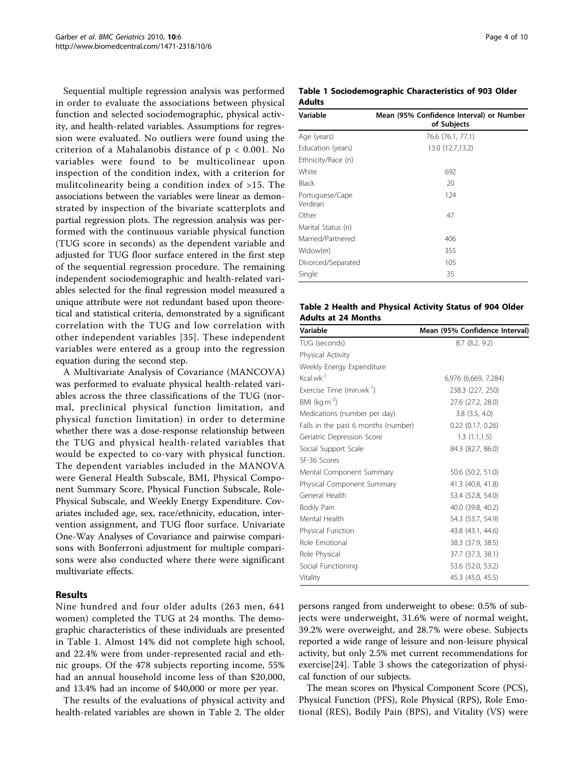Sequential multiple regression analysis was performed in order to evaluate the associations between physical function and selected sociodemographic, physical activity, and health-related variables. Assumptions for regression were evaluated. No outliers were found using the criterion of a Mahalanobis distance of p < 0.001. No variables were found to be multicolinear upon inspection of the condition index, with a criterion for mulitcolinearity being a condition index of >15. The associations between the variables were linear as demonstrated by inspection of the bivariate scatterplots and partial regression plots. The regression analysis was performed with the continuous variable physical function (TUG score in seconds) as the dependent variable and adjusted for TUG floor surface entered in the first step of the sequential regression procedure. The remaining independent sociodemographic and health-related variables selected for the final regression model measured a unique attribute were not redundant based upon theoretical and statistical criteria, demonstrated by a significant correlation with the TUG and low correlation with other independent variables [[35](#page-10-0)]. These independent variables were entered as a group into the regression equation during the second step.

A Multivariate Analysis of Covariance (MANCOVA) was performed to evaluate physical health-related variables across the three classifications of the TUG (normal, preclinical physical function limitation, and physical function limitation) in order to determine whether there was a dose-response relationship between the TUG and physical health-related variables that would be expected to co-vary with physical function. The dependent variables included in the MANOVA were General Health Subscale, BMI, Physical Component Summary Score, Physical Function Subscale, Role-Physical Subscale, and Weekly Energy Expenditure. Covariates included age, sex, race/ethnicity, education, intervention assignment, and TUG floor surface. Univariate One-Way Analyses of Covariance and pairwise comparisons with Bonferroni adjustment for multiple comparisons were also conducted where there were significant multivariate effects.

#### Results

Nine hundred and four older adults (263 men, 641 women) completed the TUG at 24 months. The demographic characteristics of these individuals are presented in Table 1. Almost 14% did not complete high school, and 22.4% were from under-represented racial and ethnic groups. Of the 478 subjects reporting income, 55% had an annual household income less of than \$20,000, and 13.4% had an income of \$40,000 or more per year.

The results of the evaluations of physical activity and health-related variables are shown in Table 2. The older

|        | Table 1 Sociodemographic Characteristics of 903 Older |  |  |
|--------|-------------------------------------------------------|--|--|
| Adults |                                                       |  |  |

| Variable                   | Mean (95% Confidence Interval) or Number<br>of Subjects |
|----------------------------|---------------------------------------------------------|
| Age (years)                | 76.6 (76.1, 77.1)                                       |
| Education (years)          | 13.0 (12.7,13.2)                                        |
| Ethnicity/Race (n)         |                                                         |
| White                      | 692                                                     |
| <b>Black</b>               | 20                                                      |
| Portuguese/Cape<br>Verdean | 124                                                     |
| Other                      | 47                                                      |
| Marital Status (n)         |                                                         |
| Married/Partnered          | 406                                                     |
| Widow(er)                  | 355                                                     |
| Divorced/Separated         | 105                                                     |
| Single                     | 35                                                      |

#### Table 2 Health and Physical Activity Status of 904 Older Adults at 24 Months

| Variable                              | Mean (95% Confidence Interval) |
|---------------------------------------|--------------------------------|
| TUG (seconds)                         | 8.7(8.2, 9.2)                  |
| Physical Activity                     |                                |
| Weekly Energy Expenditure             |                                |
| Kcal.wk <sup>-1</sup>                 | 6,976 (6,669, 7.284)           |
| Exercise Time (min.wk <sup>-1</sup> ) | 238.3 (227, 250)               |
| BMI ( $kg.m^{-2}$ )                   | 27.6 (27.2, 28.0)              |
| Medications (number per day)          | $3.8$ $(3.5, 4.0)$             |
| Falls in the past 6 months (number)   | $0.22$ $(0.17, 0.26)$          |
| Geriatric Depression Score            | 1.3(1.1, 1.5)                  |
| Social Support Scale                  | 84.3 (82.7, 86.0)              |
| SE-36 Scores                          |                                |
| Mental Component Summary              | 50.6 (50.2, 51.0)              |
| Physical Component Summary            | 41.3 (40.8, 41.8)              |
| General Health                        | 53.4 (52.8, 54.0)              |
| Bodily Pain                           | 40.0 (39.8, 40.2)              |
| Mental Health                         | 54.3 (53.7, 54.9)              |
| Physical Function                     | 43.8 (43.1, 44.6)              |
| Role Emotional                        | 38.3 (37.9, 38.5)              |
| Role Physical                         | 37.7 (37.3, 38.1)              |
| Social Functioning                    | 53.6 (52.0, 53.2)              |
| Vitality                              | 45.3 (45.0, 45.5)              |

persons ranged from underweight to obese: 0.5% of subjects were underweight, 31.6% were of normal weight, 39.2% were overweight, and 28.7% were obese. Subjects reported a wide range of leisure and non-leisure physical activity, but only 2.5% met current recommendations for exercise[[24\]](#page-10-0). Table [3](#page-6-0) shows the categorization of physical function of our subjects.

The mean scores on Physical Component Score (PCS), Physical Function (PFS), Role Physical (RPS), Role Emotional (RES), Bodily Pain (BPS), and Vitality (VS) were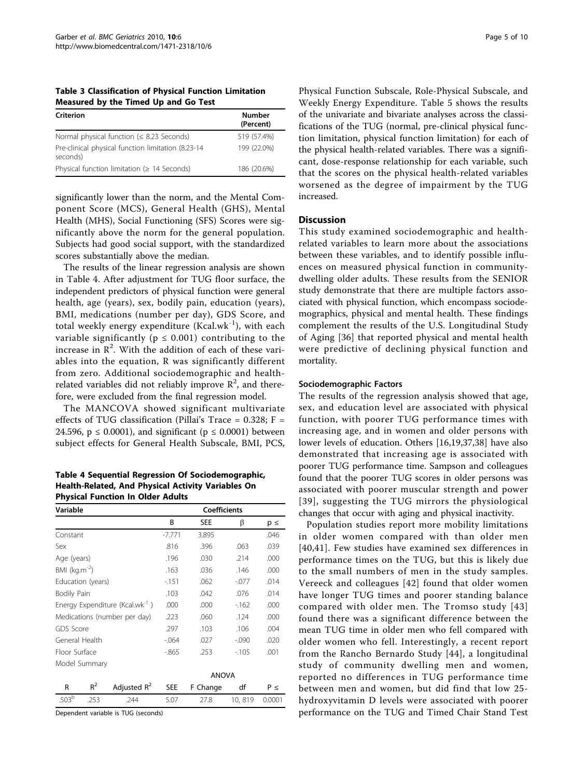<span id="page-6-0"></span>Table 3 Classification of Physical Function Limitation Measured by the Timed Up and Go Test

| <b>Criterion</b>                                                | <b>Number</b><br>(Percent) |
|-----------------------------------------------------------------|----------------------------|
| Normal physical function $( \leq 8.23$ Seconds)                 | 519 (57.4%)                |
| Pre-clinical physical function limitation (8.23-14)<br>seconds) | 199 (22.0%)                |
| Physical function limitation ( $\geq$ 14 Seconds)               | 186 (20.6%)                |

significantly lower than the norm, and the Mental Component Score (MCS), General Health (GHS), Mental Health (MHS), Social Functioning (SFS) Scores were significantly above the norm for the general population. Subjects had good social support, with the standardized scores substantially above the median.

The results of the linear regression analysis are shown in Table 4. After adjustment for TUG floor surface, the independent predictors of physical function were general health, age (years), sex, bodily pain, education (years), BMI, medications (number per day), GDS Score, and total weekly energy expenditure  $(Kcal.wk^{-1})$ , with each variable significantly ( $p \leq 0.001$ ) contributing to the increase in  $\mathbb{R}^2$ . With the addition of each of these variables into the equation, R was significantly different from zero. Additional sociodemographic and healthrelated variables did not reliably improve  $\mathbb{R}^2$ , and therefore, were excluded from the final regression model.

The MANCOVA showed significant multivariate effects of TUG classification (Pillai's Trace =  $0.328$ ; F = 24.596,  $p$  ≤ 0.0001), and significant ( $p$  ≤ 0.0001) between subject effects for General Health Subscale, BMI, PCS,

Table 4 Sequential Regression Of Sociodemographic, Health-Related, And Physical Activity Variables On Physical Function In Older Adults

| Variable                                    |       |                | <b>Coefficients</b> |                |         |          |
|---------------------------------------------|-------|----------------|---------------------|----------------|---------|----------|
|                                             |       |                | B                   | <b>SEE</b>     | β       | $p \leq$ |
| Constant                                    |       |                | $-7.771$            | 3.895          |         | .046     |
| Sex                                         |       |                | .816                | .396           | .063    | .039     |
| Age (years)                                 |       |                | .196                | .030           | .214    | .000     |
| BMI ( $kg.m^{-2}$ )                         |       |                | .163                | .036           | .146    | .000     |
| Education (years)                           |       | $-151$         | .062                | $-0.077$       | .014    |          |
| Bodily Pain                                 |       |                | .103                | .042           | .076    | .014     |
| Energy Expenditure (Kcal.wk <sup>-1</sup> ) |       |                | .000                | .000           | $-162$  | .000     |
| Medications (number per day)                |       | .223           | .060                | .124           | .000    |          |
| GDS Score                                   |       | .297           | .103                | .106           | .004    |          |
| General Health                              |       | $-064$         | .027                | $-0.90$        | .020    |          |
| Floor Surface                               |       |                | $-865$              | .253<br>$-105$ |         | .001     |
| Model Summary                               |       |                |                     |                |         |          |
|                                             |       |                | <b>ANOVA</b>        |                |         |          |
| R                                           | $R^2$ | Adjusted $R^2$ | <b>SEE</b>          | F Change       | df      | $P \leq$ |
| .503 <sup>b</sup>                           | .253  | .244           | 5.07                | 27.8           | 10, 819 | 0.0001   |

Dependent variable is TUG (seconds)

Physical Function Subscale, Role-Physical Subscale, and Weekly Energy Expenditure. Table [5](#page-7-0) shows the results of the univariate and bivariate analyses across the classifications of the TUG (normal, pre-clinical physical function limitation, physical function limitation) for each of the physical health-related variables. There was a significant, dose-response relationship for each variable, such that the scores on the physical health-related variables worsened as the degree of impairment by the TUG increased.

#### **Discussion**

This study examined sociodemographic and healthrelated variables to learn more about the associations between these variables, and to identify possible influences on measured physical function in communitydwelling older adults. These results from the SENIOR study demonstrate that there are multiple factors associated with physical function, which encompass sociodemographics, physical and mental health. These findings complement the results of the U.S. Longitudinal Study of Aging [\[36](#page-10-0)] that reported physical and mental health were predictive of declining physical function and mortality.

#### Sociodemographic Factors

The results of the regression analysis showed that age, sex, and education level are associated with physical function, with poorer TUG performance times with increasing age, and in women and older persons with lower levels of education. Others [\[16,19,37,38](#page-10-0)] have also demonstrated that increasing age is associated with poorer TUG performance time. Sampson and colleagues found that the poorer TUG scores in older persons was associated with poorer muscular strength and power [[39](#page-10-0)], suggesting the TUG mirrors the physiological changes that occur with aging and physical inactivity.

Population studies report more mobility limitations in older women compared with than older men [[40](#page-10-0),[41](#page-10-0)]. Few studies have examined sex differences in performance times on the TUG, but this is likely due to the small numbers of men in the study samples. Vereeck and colleagues [[42\]](#page-10-0) found that older women have longer TUG times and poorer standing balance compared with older men. The Tromso study [[43](#page-10-0)] found there was a significant difference between the mean TUG time in older men who fell compared with older women who fell. Interestingly, a recent report from the Rancho Bernardo Study [[44\]](#page-10-0), a longitudinal study of community dwelling men and women, reported no differences in TUG performance time between men and women, but did find that low 25 hydroxyvitamin D levels were associated with poorer performance on the TUG and Timed Chair Stand Test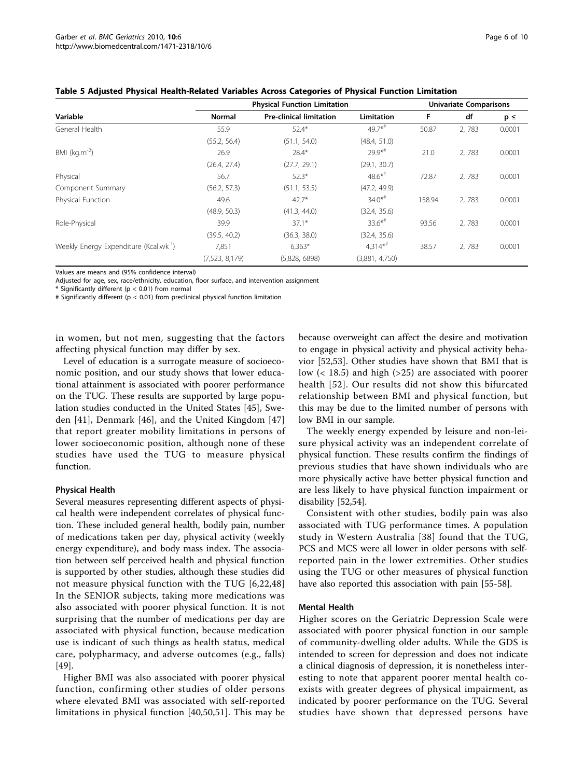|                                                    | <b>Physical Function Limitation</b> |                                |                   | <b>Univariate Comparisons</b> |       |          |
|----------------------------------------------------|-------------------------------------|--------------------------------|-------------------|-------------------------------|-------|----------|
| Variable                                           | <b>Normal</b>                       | <b>Pre-clinical limitation</b> | <b>Limitation</b> | F                             | df    | $p \leq$ |
| General Health                                     | 55.9                                | $52.4*$                        | $49.7**$          | 50.87                         | 2.783 | 0.0001   |
|                                                    | (55.2, 56.4)                        | (51.1, 54.0)                   | (48.4, 51.0)      |                               |       |          |
| BMI ( $kg.m^{-2}$ )                                | 26.9                                | $78.4*$                        | $79.9**$          | 21.0                          | 2.783 | 0.0001   |
|                                                    | (26.4, 27.4)                        | (27.7, 29.1)                   | (29.1, 30.7)      |                               |       |          |
| Physical                                           | 56.7                                | $52.3*$                        | $48.6**$          | 72.87                         | 2.783 | 0.0001   |
| Component Summary                                  | (56.2, 57.3)                        | (51.1, 53.5)                   | (47.2, 49.9)      |                               |       |          |
| Physical Function                                  | 49.6                                | $42.7*$                        | $34.0**$          | 158.94                        | 2.783 | 0.0001   |
|                                                    | (48.9, 50.3)                        | (41.3, 44.0)                   | (32.4, 35.6)      |                               |       |          |
| Role-Physical                                      | 39.9                                | $37.1*$                        | $33.6**$          | 93.56                         | 2.783 | 0.0001   |
|                                                    | (39.5, 40.2)                        | (36.3, 38.0)                   | (32.4, 35.6)      |                               |       |          |
| Weekly Energy Expenditure (Kcal.wk <sup>-1</sup> ) | 7,851                               | $6,363*$                       | $4,314**$         | 38.57                         | 2.783 | 0.0001   |
|                                                    | (7,523, 8,179)                      | (5,828, 6898)                  | (3,881, 4,750)    |                               |       |          |

<span id="page-7-0"></span>Table 5 Adjusted Physical Health-Related Variables Across Categories of Physical Function Limitation

Values are means and (95% confidence interval)

Adjusted for age, sex, race/ethnicity, education, floor surface, and intervention assignment

 $*$  Significantly different ( $p < 0.01$ ) from normal

# Significantly different (p < 0.01) from preclinical physical function limitation

in women, but not men, suggesting that the factors affecting physical function may differ by sex.

Level of education is a surrogate measure of socioeconomic position, and our study shows that lower educational attainment is associated with poorer performance on the TUG. These results are supported by large population studies conducted in the United States [[45\]](#page-10-0), Sweden [[41](#page-10-0)], Denmark [\[46](#page-10-0)], and the United Kingdom [\[47](#page-10-0)] that report greater mobility limitations in persons of lower socioeconomic position, although none of these studies have used the TUG to measure physical function.

#### Physical Health

Several measures representing different aspects of physical health were independent correlates of physical function. These included general health, bodily pain, number of medications taken per day, physical activity (weekly energy expenditure), and body mass index. The association between self perceived health and physical function is supported by other studies, although these studies did not measure physical function with the TUG [\[6](#page-9-0),[22,48](#page-10-0)] In the SENIOR subjects, taking more medications was also associated with poorer physical function. It is not surprising that the number of medications per day are associated with physical function, because medication use is indicant of such things as health status, medical care, polypharmacy, and adverse outcomes (e.g., falls) [[49\]](#page-10-0).

Higher BMI was also associated with poorer physical function, confirming other studies of older persons where elevated BMI was associated with self-reported limitations in physical function [[40,50,51](#page-10-0)]. This may be because overweight can affect the desire and motivation to engage in physical activity and physical activity behavior [[52](#page-10-0),[53\]](#page-10-0). Other studies have shown that BMI that is low  $\left($  < 18.5) and high  $\left($  >25) are associated with poorer health [[52](#page-10-0)]. Our results did not show this bifurcated relationship between BMI and physical function, but this may be due to the limited number of persons with low BMI in our sample.

The weekly energy expended by leisure and non-leisure physical activity was an independent correlate of physical function. These results confirm the findings of previous studies that have shown individuals who are more physically active have better physical function and are less likely to have physical function impairment or disability [\[52,54\]](#page-10-0).

Consistent with other studies, bodily pain was also associated with TUG performance times. A population study in Western Australia [\[38\]](#page-10-0) found that the TUG, PCS and MCS were all lower in older persons with selfreported pain in the lower extremities. Other studies using the TUG or other measures of physical function have also reported this association with pain [\[55-58](#page-10-0)].

#### Mental Health

Higher scores on the Geriatric Depression Scale were associated with poorer physical function in our sample of community-dwelling older adults. While the GDS is intended to screen for depression and does not indicate a clinical diagnosis of depression, it is nonetheless interesting to note that apparent poorer mental health coexists with greater degrees of physical impairment, as indicated by poorer performance on the TUG. Several studies have shown that depressed persons have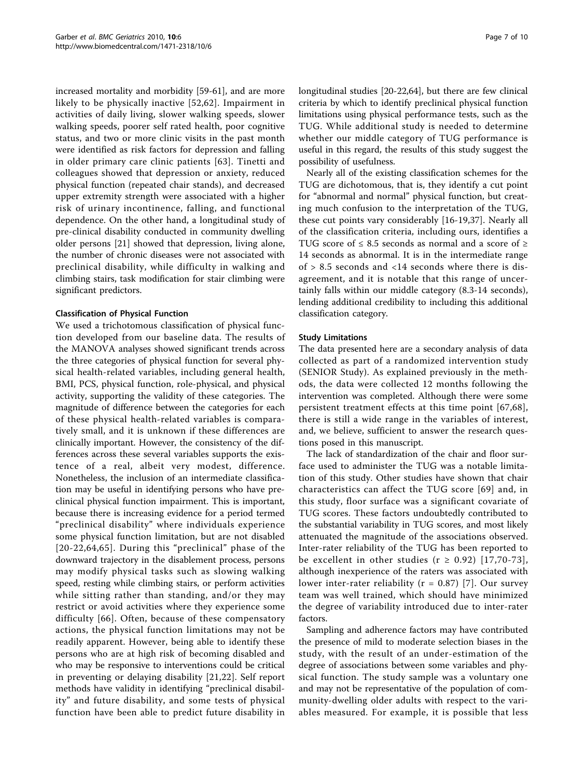increased mortality and morbidity [\[59](#page-10-0)-[61\]](#page-11-0), and are more likely to be physically inactive [[52,](#page-10-0)[62](#page-11-0)]. Impairment in activities of daily living, slower walking speeds, slower walking speeds, poorer self rated health, poor cognitive status, and two or more clinic visits in the past month were identified as risk factors for depression and falling in older primary care clinic patients [[63](#page-11-0)]. Tinetti and colleagues showed that depression or anxiety, reduced physical function (repeated chair stands), and decreased upper extremity strength were associated with a higher risk of urinary incontinence, falling, and functional dependence. On the other hand, a longitudinal study of pre-clinical disability conducted in community dwelling older persons [[21\]](#page-10-0) showed that depression, living alone, the number of chronic diseases were not associated with preclinical disability, while difficulty in walking and climbing stairs, task modification for stair climbing were significant predictors.

#### Classification of Physical Function

We used a trichotomous classification of physical function developed from our baseline data. The results of the MANOVA analyses showed significant trends across the three categories of physical function for several physical health-related variables, including general health, BMI, PCS, physical function, role-physical, and physical activity, supporting the validity of these categories. The magnitude of difference between the categories for each of these physical health-related variables is comparatively small, and it is unknown if these differences are clinically important. However, the consistency of the differences across these several variables supports the existence of a real, albeit very modest, difference. Nonetheless, the inclusion of an intermediate classification may be useful in identifying persons who have preclinical physical function impairment. This is important, because there is increasing evidence for a period termed "preclinical disability" where individuals experience some physical function limitation, but are not disabled [[20-22,](#page-10-0)[64,65\]](#page-11-0). During this "preclinical" phase of the downward trajectory in the disablement process, persons may modify physical tasks such as slowing walking speed, resting while climbing stairs, or perform activities while sitting rather than standing, and/or they may restrict or avoid activities where they experience some difficulty [[66](#page-11-0)]. Often, because of these compensatory actions, the physical function limitations may not be readily apparent. However, being able to identify these persons who are at high risk of becoming disabled and who may be responsive to interventions could be critical in preventing or delaying disability [[21,22](#page-10-0)]. Self report methods have validity in identifying "preclinical disability" and future disability, and some tests of physical function have been able to predict future disability in longitudinal studies [[20-22,](#page-10-0)[64\]](#page-11-0), but there are few clinical criteria by which to identify preclinical physical function limitations using physical performance tests, such as the TUG. While additional study is needed to determine whether our middle category of TUG performance is useful in this regard, the results of this study suggest the possibility of usefulness.

Nearly all of the existing classification schemes for the TUG are dichotomous, that is, they identify a cut point for "abnormal and normal" physical function, but creating much confusion to the interpretation of the TUG, these cut points vary considerably [[16-19](#page-10-0),[37](#page-10-0)]. Nearly all of the classification criteria, including ours, identifies a TUG score of  $\leq 8.5$  seconds as normal and a score of  $\geq$ 14 seconds as abnormal. It is in the intermediate range of  $> 8.5$  seconds and  $< 14$  seconds where there is disagreement, and it is notable that this range of uncertainly falls within our middle category (8.3-14 seconds), lending additional credibility to including this additional classification category.

#### Study Limitations

The data presented here are a secondary analysis of data collected as part of a randomized intervention study (SENIOR Study). As explained previously in the methods, the data were collected 12 months following the intervention was completed. Although there were some persistent treatment effects at this time point [[67](#page-11-0),[68](#page-11-0)], there is still a wide range in the variables of interest, and, we believe, sufficient to answer the research questions posed in this manuscript.

The lack of standardization of the chair and floor surface used to administer the TUG was a notable limitation of this study. Other studies have shown that chair characteristics can affect the TUG score [[69](#page-11-0)] and, in this study, floor surface was a significant covariate of TUG scores. These factors undoubtedly contributed to the substantial variability in TUG scores, and most likely attenuated the magnitude of the associations observed. Inter-rater reliability of the TUG has been reported to be excellent in other studies ( $r \geq 0.92$ ) [[17,](#page-10-0)[70](#page-11-0)-[73\]](#page-11-0), although inexperience of the raters was associated with lower inter-rater reliability ( $r = 0.87$  $r = 0.87$ ) [7]. Our survey team was well trained, which should have minimized the degree of variability introduced due to inter-rater factors.

Sampling and adherence factors may have contributed the presence of mild to moderate selection biases in the study, with the result of an under-estimation of the degree of associations between some variables and physical function. The study sample was a voluntary one and may not be representative of the population of community-dwelling older adults with respect to the variables measured. For example, it is possible that less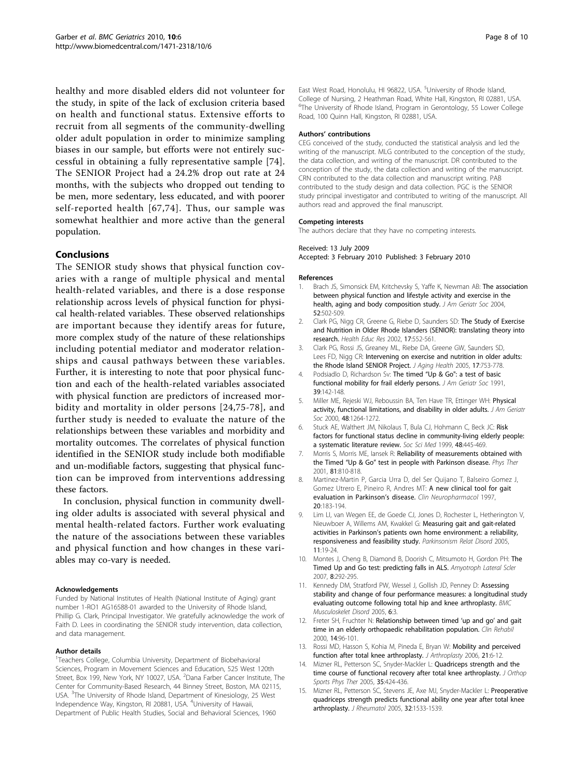<span id="page-9-0"></span>healthy and more disabled elders did not volunteer for the study, in spite of the lack of exclusion criteria based on health and functional status. Extensive efforts to recruit from all segments of the community-dwelling older adult population in order to minimize sampling biases in our sample, but efforts were not entirely successful in obtaining a fully representative sample [[74](#page-11-0)]. The SENIOR Project had a 24.2% drop out rate at 24 months, with the subjects who dropped out tending to be men, more sedentary, less educated, and with poorer self-reported health [[67,74](#page-11-0)]. Thus, our sample was somewhat healthier and more active than the general population.

#### Conclusions

The SENIOR study shows that physical function covaries with a range of multiple physical and mental health-related variables, and there is a dose response relationship across levels of physical function for physical health-related variables. These observed relationships are important because they identify areas for future, more complex study of the nature of these relationships including potential mediator and moderator relationships and causal pathways between these variables. Further, it is interesting to note that poor physical function and each of the health-related variables associated with physical function are predictors of increased morbidity and mortality in older persons [[24](#page-10-0),[75-78](#page-11-0)], and further study is needed to evaluate the nature of the relationships between these variables and morbidity and mortality outcomes. The correlates of physical function identified in the SENIOR study include both modifiable and un-modifiable factors, suggesting that physical function can be improved from interventions addressing these factors.

In conclusion, physical function in community dwelling older adults is associated with several physical and mental health-related factors. Further work evaluating the nature of the associations between these variables and physical function and how changes in these variables may co-vary is needed.

#### Acknowledgements

Funded by National Institutes of Health (National Institute of Aging) grant number 1-RO1 AG16588-01 awarded to the University of Rhode Island, Phillip G. Clark, Principal Investigator. We gratefully acknowledge the work of Faith D. Lees in coordinating the SENIOR study intervention, data collection, and data management.

#### Author details

<sup>1</sup>Teachers College, Columbia University, Department of Biobehavioral Sciences, Program in Movement Sciences and Education, 525 West 120th Street, Box 199, New York, NY 10027, USA. <sup>2</sup>Dana Farber Cancer Institute, The Center for Community-Based Research, 44 Binney Street, Boston, MA 02115, USA. <sup>3</sup>The University of Rhode Island, Department of Kinesiology, 25 West Independence Way, Kingston, RI 20881, USA. <sup>4</sup>University of Hawaii, Department of Public Health Studies, Social and Behavioral Sciences, 1960

East West Road, Honolulu, HI 96822, USA. <sup>5</sup>University of Rhode Island, College of Nursing, 2 Heathman Road, White Hall, Kingston, RI 02881, USA. <sup>6</sup>The University of Rhode Island, Program in Gerontology, 55 Lower College Road, 100 Quinn Hall, Kingston, RI 02881, USA.

#### Authors' contributions

CEG conceived of the study, conducted the statistical analysis and led the writing of the manuscript. MLG contributed to the conception of the study, the data collection, and writing of the manuscript. DR contributed to the conception of the study, the data collection and writing of the manuscript. CRN contributed to the data collection and manuscript writing. PAB contributed to the study design and data collection. PGC is the SENIOR study principal investigator and contributed to writing of the manuscript. All authors read and approved the final manuscript.

#### Competing interests

The authors declare that they have no competing interests.

#### Received: 13 July 2009

Accepted: 3 February 2010 Published: 3 February 2010

#### References

- Brach JS, Simonsick EM, Kritchevsky S, Yaffe K, Newman AB: [The association](http://www.ncbi.nlm.nih.gov/pubmed/15066063?dopt=Abstract) [between physical function and lifestyle activity and exercise in the](http://www.ncbi.nlm.nih.gov/pubmed/15066063?dopt=Abstract) [health, aging and body composition study.](http://www.ncbi.nlm.nih.gov/pubmed/15066063?dopt=Abstract) J Am Geriatr Soc 2004, 52:502-509.
- 2. Clark PG, Nigg CR, Greene G, Riebe D, Saunders SD: [The Study of Exercise](http://www.ncbi.nlm.nih.gov/pubmed/12408200?dopt=Abstract) [and Nutrition in Older Rhode Islanders \(SENIOR\): translating theory into](http://www.ncbi.nlm.nih.gov/pubmed/12408200?dopt=Abstract) [research.](http://www.ncbi.nlm.nih.gov/pubmed/12408200?dopt=Abstract) Health Educ Res 2002, 17:552-561.
- 3. Clark PG, Rossi JS, Greaney ML, Riebe DA, Greene GW, Saunders SD, Lees FD, Nigg CR: [Intervening on exercise and nutrition in older adults:](http://www.ncbi.nlm.nih.gov/pubmed/16377771?dopt=Abstract) [the Rhode Island SENIOR Project.](http://www.ncbi.nlm.nih.gov/pubmed/16377771?dopt=Abstract) J Aging Health 2005, 17:753-778.
- 4. Podsiadlo D, Richardson Sv: The timed "[Up & Go": a test of basic](http://www.ncbi.nlm.nih.gov/pubmed/1991946?dopt=Abstract) [functional mobility for frail elderly persons.](http://www.ncbi.nlm.nih.gov/pubmed/1991946?dopt=Abstract) J Am Geriatr Soc 1991, 39:142-148.
- 5. Miller ME, Rejeski WJ, Reboussin BA, Ten Have TR, Ettinger WH: [Physical](http://www.ncbi.nlm.nih.gov/pubmed/11037014?dopt=Abstract) [activity, functional limitations, and disability in older adults.](http://www.ncbi.nlm.nih.gov/pubmed/11037014?dopt=Abstract) J Am Geriatr Soc 2000, 48:1264-1272.
- 6. Stuck AE, Walthert JM, Nikolaus T, Bula CJ, Hohmann C, Beck JC: [Risk](http://www.ncbi.nlm.nih.gov/pubmed/10075171?dopt=Abstract) [factors for functional status decline in community-living elderly people:](http://www.ncbi.nlm.nih.gov/pubmed/10075171?dopt=Abstract) [a systematic literature review.](http://www.ncbi.nlm.nih.gov/pubmed/10075171?dopt=Abstract) Soc Sci Med 1999, 48:445-469.
- 7. Morris S, Morris ME, lansek R: [Reliability of measurements obtained with](http://www.ncbi.nlm.nih.gov/pubmed/11175678?dopt=Abstract) the Timed "Up & Go" [test in people with Parkinson disease.](http://www.ncbi.nlm.nih.gov/pubmed/11175678?dopt=Abstract) Phys Ther 2001, 81:810-818.
- 8. Martinez-Martin P, Garcia Urra D, del Ser Quijano T, Balseiro Gomez J, Gomez Utrero E, Pineiro R, Andres MT: [A new clinical tool for gait](http://www.ncbi.nlm.nih.gov/pubmed/9197940?dopt=Abstract) [evaluation in Parkinson](http://www.ncbi.nlm.nih.gov/pubmed/9197940?dopt=Abstract)'s disease. Clin Neuropharmacol 1997, 20:183-194.
- 9. Lim LI, van Wegen EE, de Goede CJ, Jones D, Rochester L, Hetherington V, Nieuwboer A, Willems AM, Kwakkel G: [Measuring gait and gait-related](http://www.ncbi.nlm.nih.gov/pubmed/15619458?dopt=Abstract) activities in Parkinson'[s patients own home environment: a reliability,](http://www.ncbi.nlm.nih.gov/pubmed/15619458?dopt=Abstract) [responsiveness and feasibility study.](http://www.ncbi.nlm.nih.gov/pubmed/15619458?dopt=Abstract) Parkinsonism Relat Disord 2005, 11:19-24.
- 10. Montes J, Cheng B, Diamond B, Doorish C, Mitsumoto H, Gordon PH: [The](http://www.ncbi.nlm.nih.gov/pubmed/17852012?dopt=Abstract) [Timed Up and Go test: predicting falls in ALS.](http://www.ncbi.nlm.nih.gov/pubmed/17852012?dopt=Abstract) Amyotroph Lateral Scler 2007, 8:292-295.
- 11. Kennedy DM, Stratford PW, Wessel J, Gollish JD, Penney D: [Assessing](http://www.ncbi.nlm.nih.gov/pubmed/15679884?dopt=Abstract) [stability and change of four performance measures: a longitudinal study](http://www.ncbi.nlm.nih.gov/pubmed/15679884?dopt=Abstract) [evaluating outcome following total hip and knee arthroplasty.](http://www.ncbi.nlm.nih.gov/pubmed/15679884?dopt=Abstract) BMC Musculoskelet Disord 2005, 6:3.
- 12. Freter SH, Fruchter N: [Relationship between timed](http://www.ncbi.nlm.nih.gov/pubmed/10688350?dopt=Abstract) 'up and go' and gait [time in an elderly orthopaedic rehabilitation population.](http://www.ncbi.nlm.nih.gov/pubmed/10688350?dopt=Abstract) Clin Rehabil 2000, 14:96-101.
- 13. Rossi MD, Hasson S, Kohia M, Pineda E, Bryan W: [Mobility and perceived](http://www.ncbi.nlm.nih.gov/pubmed/16446179?dopt=Abstract) [function after total knee arthroplasty.](http://www.ncbi.nlm.nih.gov/pubmed/16446179?dopt=Abstract) J Arthroplasty 2006, 21:6-12.
- 14. Mizner RL, Petterson SC, Snyder-Mackler L: [Quadriceps strength and the](http://www.ncbi.nlm.nih.gov/pubmed/16108583?dopt=Abstract) [time course of functional recovery after total knee arthroplasty.](http://www.ncbi.nlm.nih.gov/pubmed/16108583?dopt=Abstract) J Orthop Sports Phys Ther 2005, 35:424-436.
- 15. Mizner RL, Petterson SC, Stevens JE, Axe MJ, Snyder-Mackler L: [Preoperative](http://www.ncbi.nlm.nih.gov/pubmed/16078331?dopt=Abstract) [quadriceps strength predicts functional ability one year after total knee](http://www.ncbi.nlm.nih.gov/pubmed/16078331?dopt=Abstract) [arthroplasty.](http://www.ncbi.nlm.nih.gov/pubmed/16078331?dopt=Abstract) J Rheumatol 2005, 32:1533-1539.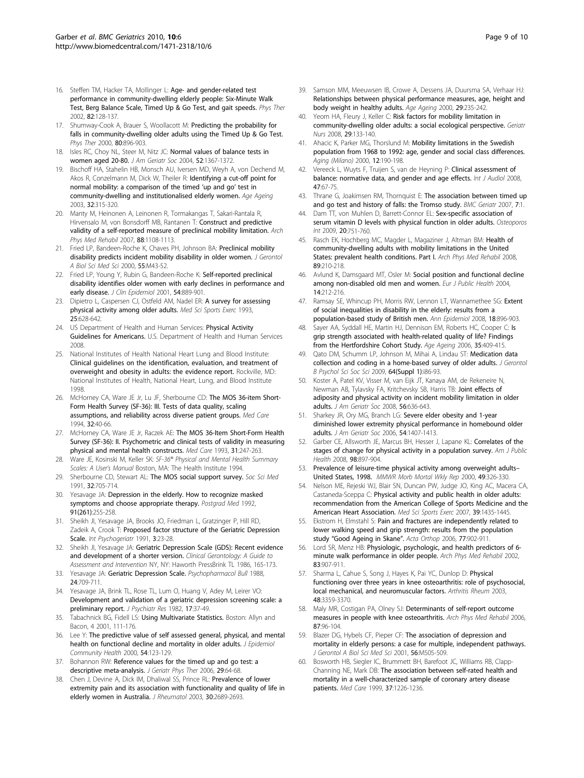- <span id="page-10-0"></span>16. Steffen TM, Hacker TA, Mollinger L: [Age- and gender-related test](http://www.ncbi.nlm.nih.gov/pubmed/11856064?dopt=Abstract) [performance in community-dwelling elderly people: Six-Minute Walk](http://www.ncbi.nlm.nih.gov/pubmed/11856064?dopt=Abstract) [Test, Berg Balance Scale, Timed Up & Go Test, and gait speeds.](http://www.ncbi.nlm.nih.gov/pubmed/11856064?dopt=Abstract) Phys Ther 2002, 82:128-137.
- 17. Shumway-Cook A, Brauer S, Woollacott M: [Predicting the probability for](http://www.ncbi.nlm.nih.gov/pubmed/10960937?dopt=Abstract) [falls in community-dwelling older adults using the Timed Up & Go Test.](http://www.ncbi.nlm.nih.gov/pubmed/10960937?dopt=Abstract) Phys Ther 2000, 80:896-903.
- 18. Isles RC, Choy NL, Steer M, Nitz JC: [Normal values of balance tests in](http://www.ncbi.nlm.nih.gov/pubmed/15271128?dopt=Abstract) [women aged 20-80.](http://www.ncbi.nlm.nih.gov/pubmed/15271128?dopt=Abstract) J Am Geriatr Soc 2004, 52:1367-1372.
- 19. Bischoff HA, Stahelin HB, Monsch AU, Iversen MD, Weyh A, von Dechend M, Akos R, Conzelmann M, Dick W, Theiler R: [Identifying a cut-off point for](http://www.ncbi.nlm.nih.gov/pubmed/12720619?dopt=Abstract) [normal mobility: a comparison of the timed](http://www.ncbi.nlm.nih.gov/pubmed/12720619?dopt=Abstract) 'up and go' test in [community-dwelling and institutionalised elderly women.](http://www.ncbi.nlm.nih.gov/pubmed/12720619?dopt=Abstract) Age Ageing 2003, 32:315-320.
- 20. Manty M, Heinonen A, Leinonen R, Tormakangas T, Sakari-Rantala R, Hirvensalo M, von Bonsdorff MB, Rantanen T: [Construct and predictive](http://www.ncbi.nlm.nih.gov/pubmed/17826454?dopt=Abstract) [validity of a self-reported measure of preclinical mobility limitation.](http://www.ncbi.nlm.nih.gov/pubmed/17826454?dopt=Abstract) Arch Phys Med Rehabil 2007, 88:1108-1113.
- 21. Fried LP, Bandeen-Roche K, Chaves PH, Johnson BA: [Preclinical mobility](http://www.ncbi.nlm.nih.gov/pubmed/10719772?dopt=Abstract) [disability predicts incident mobility disability in older women.](http://www.ncbi.nlm.nih.gov/pubmed/10719772?dopt=Abstract) J Gerontol A Biol Sci Med Sci 2000, 55:M43-52.
- 22. Fried LP, Young Y, Rubin G, Bandeen-Roche K: [Self-reported preclinical](http://www.ncbi.nlm.nih.gov/pubmed/11520648?dopt=Abstract) [disability identifies older women with early declines in performance and](http://www.ncbi.nlm.nih.gov/pubmed/11520648?dopt=Abstract) [early disease.](http://www.ncbi.nlm.nih.gov/pubmed/11520648?dopt=Abstract) J Clin Epidemiol 2001, 54:889-901.
- 23. Dipietro L, Caspersen CJ, Ostfeld AM, Nadel ER: [A survey for assessing](http://www.ncbi.nlm.nih.gov/pubmed/8492692?dopt=Abstract) [physical activity among older adults.](http://www.ncbi.nlm.nih.gov/pubmed/8492692?dopt=Abstract) Med Sci Sports Exerc 1993, 25:628-642.
- 24. US Department of Health and Human Services: Physical Activity Guidelines for Americans. U.S. Department of Health and Human Services 2008.
- 25. National Institutes of Health National Heart Lung and Blood Institute: Clinical guidelines on the identification, evaluation, and treatment of overweight and obesity in adults: the evidence report. Rockville, MD: National Institutes of Health, National Heart, Lung, and Blood Institute 1998.
- 26. McHorney CA, Ware JE Jr, Lu JF, Sherbourne CD: [The MOS 36-item Short-](http://www.ncbi.nlm.nih.gov/pubmed/8277801?dopt=Abstract)[Form Health Survey \(SF-36\): III. Tests of data quality, scaling](http://www.ncbi.nlm.nih.gov/pubmed/8277801?dopt=Abstract) [assumptions, and reliability across diverse patient groups.](http://www.ncbi.nlm.nih.gov/pubmed/8277801?dopt=Abstract) Med Care 1994, 32:40-66.
- 27. McHorney CA, Ware JE Jr, Raczek AE: [The MOS 36-Item Short-Form Health](http://www.ncbi.nlm.nih.gov/pubmed/8450681?dopt=Abstract) [Survey \(SF-36\): II. Psychometric and clinical tests of validity in measuring](http://www.ncbi.nlm.nih.gov/pubmed/8450681?dopt=Abstract) [physical and mental health constructs.](http://www.ncbi.nlm.nih.gov/pubmed/8450681?dopt=Abstract) Med Care 1993, 31:247-263.
- 28. Ware JE, Kosinski M, Keller SK: SF-36® Physical and Mental Health Summary Scales: A User's Manual Boston, MA: The Health Institute 1994.
- 29. Sherbourne CD, Stewart AL: [The MOS social support survey.](http://www.ncbi.nlm.nih.gov/pubmed/2035047?dopt=Abstract) Soc Sci Med 1991, 32:705-714.
- 30. Yesavage JA: [Depression in the elderly. How to recognize masked](http://www.ncbi.nlm.nih.gov/pubmed/1728777?dopt=Abstract) [symptoms and choose appropriate therapy.](http://www.ncbi.nlm.nih.gov/pubmed/1728777?dopt=Abstract) Postgrad Med 1992, 91(261):255-258.
- 31. Sheikh JI, Yesavage JA, Brooks JO, Friedman L, Gratzinger P, Hill RD, Zadeik A, Crook T: [Proposed factor structure of the Geriatric Depression](http://www.ncbi.nlm.nih.gov/pubmed/1863703?dopt=Abstract) [Scale.](http://www.ncbi.nlm.nih.gov/pubmed/1863703?dopt=Abstract) Int Psychogeriatr 1991, 3:23-28.
- 32. Sheikh JI, Yesavage JA: Geriatric Depression Scale (GDS): Recent evidence and development of a shorter version. Clinical Gerontology: A Guide to Assessment and Intervention NY, NY: Haworth PressBrink TL 1986, 165-173.
- 33. Yesavage JA: [Geriatric Depression Scale.](http://www.ncbi.nlm.nih.gov/pubmed/3249773?dopt=Abstract) Psychopharmacol Bull 1988, 24:709-711.
- 34. Yesavage JA, Brink TL, Rose TL, Lum O, Huang V, Adey M, Leirer VO: [Development and validation of a geriatric depression screening scale: a](http://www.ncbi.nlm.nih.gov/pubmed/7183759?dopt=Abstract) [preliminary report.](http://www.ncbi.nlm.nih.gov/pubmed/7183759?dopt=Abstract) J Psychiatr Res 1982, 17:37-49.
- 35. Tabachnick BG, Fidell LS: Using Multivariate Statistics. Boston: Allyn and Bacon, 4 2001, 111-176.
- 36. Lee Y: [The predictive value of self assessed general, physical, and mental](http://www.ncbi.nlm.nih.gov/pubmed/10715745?dopt=Abstract) [health on functional decline and mortality in older adults.](http://www.ncbi.nlm.nih.gov/pubmed/10715745?dopt=Abstract) J Epidemiol Community Health 2000, 54:123-129.
- 37. Bohannon RW: [Reference values for the timed up and go test: a](http://www.ncbi.nlm.nih.gov/pubmed/16914068?dopt=Abstract) [descriptive meta-analysis.](http://www.ncbi.nlm.nih.gov/pubmed/16914068?dopt=Abstract) J Geriatr Phys Ther 2006, 29:64-68.
- 38. Chen J, Devine A, Dick IM, Dhaliwal SS, Prince RL: [Prevalence of lower](http://www.ncbi.nlm.nih.gov/pubmed/14719214?dopt=Abstract) [extremity pain and its association with functionality and quality of life in](http://www.ncbi.nlm.nih.gov/pubmed/14719214?dopt=Abstract) [elderly women in Australia.](http://www.ncbi.nlm.nih.gov/pubmed/14719214?dopt=Abstract) J Rheumatol 2003, 30:2689-2693.
- 39. Samson MM, Meeuwsen IB, Crowe A, Dessens JA, Duursma SA, Verhaar HJ: [Relationships between physical performance measures, age, height and](http://www.ncbi.nlm.nih.gov/pubmed/10855906?dopt=Abstract) [body weight in healthy adults.](http://www.ncbi.nlm.nih.gov/pubmed/10855906?dopt=Abstract) Age Ageing 2000, 29:235-242.
- Yeom HA, Fleury J, Keller C: [Risk factors for mobility limitation in](http://www.ncbi.nlm.nih.gov/pubmed/18394514?dopt=Abstract) [community-dwelling older adults: a social ecological perspective.](http://www.ncbi.nlm.nih.gov/pubmed/18394514?dopt=Abstract) Geriatr Nurs 2008, 29:133-140.
- 41. Ahacic K, Parker MG, Thorslund M: [Mobility limitations in the Swedish](http://www.ncbi.nlm.nih.gov/pubmed/10965377?dopt=Abstract) [population from 1968 to 1992: age, gender and social class differences.](http://www.ncbi.nlm.nih.gov/pubmed/10965377?dopt=Abstract) Aging (Milano) 2000, 12:190-198.
- 42. Vereeck L, Wuyts F, Truijen S, van de Heyning P: [Clinical assessment of](http://www.ncbi.nlm.nih.gov/pubmed/18236239?dopt=Abstract) [balance: normative data, and gender and age effects.](http://www.ncbi.nlm.nih.gov/pubmed/18236239?dopt=Abstract) Int J Audiol 2008, 47:67-75.
- 43. Thrane G, Joakimsen RM, Thornquist E: [The association between timed up](http://www.ncbi.nlm.nih.gov/pubmed/17222340?dopt=Abstract) [and go test and history of falls: the Tromso study.](http://www.ncbi.nlm.nih.gov/pubmed/17222340?dopt=Abstract) BMC Geriatr 2007, 7:1.
- 44. Dam TT, von Muhlen D, Barrett-Connor EL: [Sex-specific association of](http://www.ncbi.nlm.nih.gov/pubmed/18802657?dopt=Abstract) [serum vitamin D levels with physical function in older adults.](http://www.ncbi.nlm.nih.gov/pubmed/18802657?dopt=Abstract) Osteoporos Int 2009, 20:751-760.
- 45. Rasch EK, Hochberg MC, Magder L, Magaziner J, Altman BM: [Health of](http://www.ncbi.nlm.nih.gov/pubmed/18226643?dopt=Abstract) [community-dwelling adults with mobility limitations in the United](http://www.ncbi.nlm.nih.gov/pubmed/18226643?dopt=Abstract) [States: prevalent health conditions. Part I.](http://www.ncbi.nlm.nih.gov/pubmed/18226643?dopt=Abstract) Arch Phys Med Rehabil 2008, 89:210-218.
- 46. Avlund K, Damsgaard MT, Osler M: [Social position and functional decline](http://www.ncbi.nlm.nih.gov/pubmed/15230514?dopt=Abstract) [among non-disabled old men and women.](http://www.ncbi.nlm.nih.gov/pubmed/15230514?dopt=Abstract) Eur J Public Health 2004, 14:212-216.
- 47. Ramsay SE, Whincup PH, Morris RW, Lennon LT, Wannamethee SG: [Extent](http://www.ncbi.nlm.nih.gov/pubmed/19041588?dopt=Abstract) [of social inequalities in disability in the elderly: results from a](http://www.ncbi.nlm.nih.gov/pubmed/19041588?dopt=Abstract) [population-based study of British men.](http://www.ncbi.nlm.nih.gov/pubmed/19041588?dopt=Abstract) Ann Epidemiol 2008, 18:896-903.
- 48. Sayer AA, Syddall HE, Martin HJ, Dennison EM, Roberts HC, Cooper C: [Is](http://www.ncbi.nlm.nih.gov/pubmed/16690636?dopt=Abstract) [grip strength associated with health-related quality of life? Findings](http://www.ncbi.nlm.nih.gov/pubmed/16690636?dopt=Abstract) [from the Hertfordshire Cohort Study.](http://www.ncbi.nlm.nih.gov/pubmed/16690636?dopt=Abstract) Age Ageing 2006, 35:409-415.
- 49. Qato DM, Schumm LP, Johnson M, Mihai A, Lindau ST: [Medication data](http://www.ncbi.nlm.nih.gov/pubmed/19491196?dopt=Abstract) [collection and coding in a home-based survey of older adults.](http://www.ncbi.nlm.nih.gov/pubmed/19491196?dopt=Abstract) J Gerontol B Psychol Sci Soc Sci 2009, 64(Suppl 1):i86-93.
- 50. Koster A, Patel KV, Visser M, van Eijk JT, Kanaya AM, de Rekeneire N, Newman AB, Tylavsky FA, Kritchevsky SB, Harris TB: [Joint effects of](http://www.ncbi.nlm.nih.gov/pubmed/18284534?dopt=Abstract) [adiposity and physical activity on incident mobility limitation in older](http://www.ncbi.nlm.nih.gov/pubmed/18284534?dopt=Abstract) [adults.](http://www.ncbi.nlm.nih.gov/pubmed/18284534?dopt=Abstract) J Am Geriatr Soc 2008, 56:636-643.
- 51. Sharkey JR, Ory MG, Branch LG: [Severe elder obesity and 1-year](http://www.ncbi.nlm.nih.gov/pubmed/16970650?dopt=Abstract) [diminished lower extremity physical performance in homebound older](http://www.ncbi.nlm.nih.gov/pubmed/16970650?dopt=Abstract) [adults.](http://www.ncbi.nlm.nih.gov/pubmed/16970650?dopt=Abstract) J Am Geriatr Soc 2006, 54:1407-1413.
- 52. Garber CE, Allsworth JE, Marcus BH, Hesser J, Lapane KL: [Correlates of the](http://www.ncbi.nlm.nih.gov/pubmed/18381988?dopt=Abstract) [stages of change for physical activity in a population survey.](http://www.ncbi.nlm.nih.gov/pubmed/18381988?dopt=Abstract) Am J Public Health 2008, 98:897-904.
- 53. Prevalence of leisure-time physical activity among overweight adults– United States, 1998. MMWR Morb Mortal Wkly Rep 2000, 49:326-330.
- 54. Nelson ME, Rejeski WJ, Blair SN, Duncan PW, Judge JO, King AC, Macera CA, Castaneda-Sceppa C: [Physical activity and public health in older adults:](http://www.ncbi.nlm.nih.gov/pubmed/17762378?dopt=Abstract) [recommendation from the American College of Sports Medicine and the](http://www.ncbi.nlm.nih.gov/pubmed/17762378?dopt=Abstract) [American Heart Association.](http://www.ncbi.nlm.nih.gov/pubmed/17762378?dopt=Abstract) Med Sci Sports Exerc 2007, 39:1435-1445.
- 55. Ekstrom H, Elmstahl S: [Pain and fractures are independently related to](http://www.ncbi.nlm.nih.gov/pubmed/17260199?dopt=Abstract) [lower walking speed and grip strength: results from the population](http://www.ncbi.nlm.nih.gov/pubmed/17260199?dopt=Abstract) study "[Good Ageing in Skane](http://www.ncbi.nlm.nih.gov/pubmed/17260199?dopt=Abstract)". Acta Orthop 2006, 77:902-911.
- 56. Lord SR, Menz HB: [Physiologic, psychologic, and health predictors of 6](http://www.ncbi.nlm.nih.gov/pubmed/12098148?dopt=Abstract) [minute walk performance in older people.](http://www.ncbi.nlm.nih.gov/pubmed/12098148?dopt=Abstract) Arch Phys Med Rehabil 2002, 83:907-911.
- 57. Sharma L, Cahue S, Song J, Hayes K, Pai YC, Dunlop D: [Physical](http://www.ncbi.nlm.nih.gov/pubmed/14673987?dopt=Abstract) [functioning over three years in knee osteoarthritis: role of psychosocial,](http://www.ncbi.nlm.nih.gov/pubmed/14673987?dopt=Abstract) [local mechanical, and neuromuscular factors.](http://www.ncbi.nlm.nih.gov/pubmed/14673987?dopt=Abstract) Arthritis Rheum 2003, 48:3359-3370.
- 58. Maly MR, Costigan PA, Olney SJ: [Determinants of self-report outcome](http://www.ncbi.nlm.nih.gov/pubmed/16401446?dopt=Abstract) [measures in people with knee osteoarthritis.](http://www.ncbi.nlm.nih.gov/pubmed/16401446?dopt=Abstract) Arch Phys Med Rehabil 2006, 87:96-104.
- 59. Blazer DG, Hybels CF, Pieper CF: [The association of depression and](http://www.ncbi.nlm.nih.gov/pubmed/11487603?dopt=Abstract) [mortality in elderly persons: a case for multiple, independent pathways.](http://www.ncbi.nlm.nih.gov/pubmed/11487603?dopt=Abstract) J Gerontol A Biol Sci Med Sci 2001, 56:M505-509.
- 60. Bosworth HB, Siegler IC, Brummett BH, Barefoot JC, Williams RB, Clapp-Channing NE, Mark DB: [The association between self-rated health and](http://www.ncbi.nlm.nih.gov/pubmed/10599604?dopt=Abstract) [mortality in a well-characterized sample of coronary artery disease](http://www.ncbi.nlm.nih.gov/pubmed/10599604?dopt=Abstract) [patients.](http://www.ncbi.nlm.nih.gov/pubmed/10599604?dopt=Abstract) Med Care 1999, 37:1226-1236.